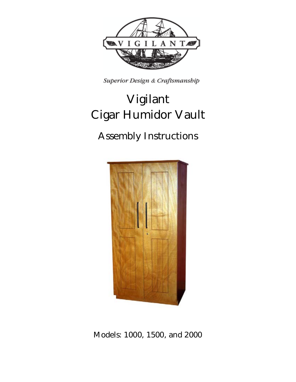

Superior Design & Craftsmanship

# **Vigilant Cigar Humidor Vault**

## **Assembly Instructions**



**Models: 1000, 1500, and 2000**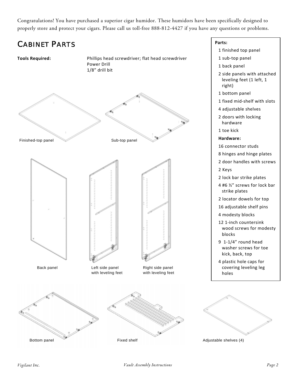Congratulations! You have purchased a superior cigar humidor. These humidors have been specifically designed to properly store and protect your cigars. Please call us toll-free 888-812-4427 if you have any questions or problems.

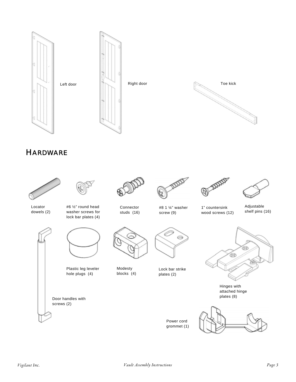

### **HARDWARE**

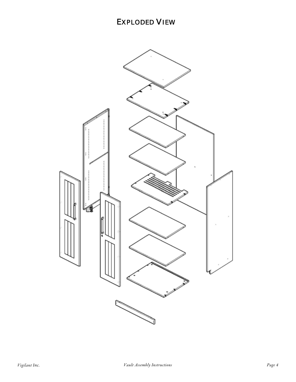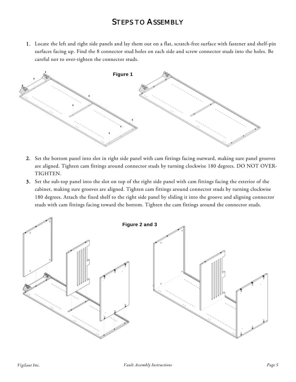#### **STEPS TO ASSEMBLY**

1. Locate the left and right side panels and lay them out on a flat, scratch-free surface with fastener and shelf-pin surfaces facing up. Find the 8 connector stud holes on each side and screw connector studs into the holes. Be careful not to over-tighten the connector studs.



- 2. Set the bottom panel into slot in right side panel with cam fittings facing outward, making sure panel grooves are aligned. Tighten cam fittings around connector studs by turning clockwise 180 degrees. DO NOT OVER-TIGHTEN.
- 3. Set the sub-top panel into the slot on top of the right side panel with cam fittings facing the exterior of the cabinet, making sure grooves are aligned. Tighten cam fittings around connector studs by turning clockwise 180 degrees. Attach the fixed shelf to the right side panel by sliding it into the groove and aligning connector studs with cam fittings facing toward the bottom. Tighten the cam fittings around the connector studs.

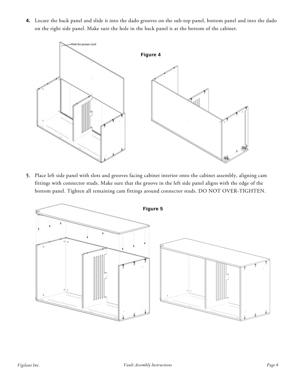**4.** Locate the back panel and slide it into the dado grooves on the sub-top panel, bottom panel and into the dado on the right side panel. Make sure the hole in the back panel is at the bottom of the cabinet.



5. Place left side panel with slots and grooves facing cabinet interior onto the cabinet assembly, aligning cam fittings with connector studs. Make sure that the groove in the left side panel aligns with the edge of the bottom panel. Tighten all remaining cam fittings around connector studs. DO NOT OVER-TIGHTEN.

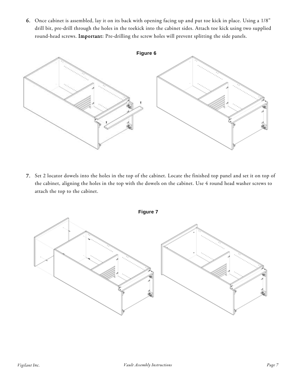6. Once cabinet is assembled, lay it on its back with opening facing up and put toe kick in place. Using a 1/8" drill bit, pre-drill through the holes in the toekick into the cabinet sides. Attach toe kick using two supplied round-head screws. Important: Pre-drilling the screw holes will prevent splitting the side panels.



7. Set 2 locator dowels into the holes in the top of the cabinet. Locate the finished top panel and set it on top of the cabinet, aligning the holes in the top with the dowels on the cabinet. Use 4 round head washer screws to attach the top to the cabinet.

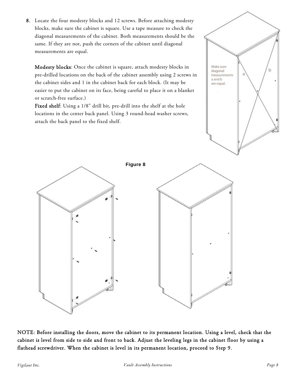8. Locate the four modesty blocks and 12 screws. Before attaching modesty blocks, make sure the cabinet is square. Use a tape measure to check the diagonal measurements of the cabinet. Both measurements should be the same. If they are not, push the corners of the cabinet until diagonal measurements are equal.

Modesty blocks: Once the cabinet is square, attach modesty blocks in pre-drilled locations on the back of the cabinet assembly using 2 screws in the cabinet sides and 1 in the cabinet back for each block. (It may be easier to put the cabinet on its face, being careful to place it on a blanket or scratch-free surface.)

Fixed shelf: Using a 1/8" drill bit, pre-drill into the shelf at the hole locations in the center back panel. Using 3 round-head washer screws, attach the back panel to the fixed shelf.





NOTE: Before installing the doors, move the cabinet to its permanent location. Using a level, check that the cabinet is level from side to side and front to back. Adjust the leveling legs in the cabinet floor by using a flathead screwdriver. When the cabinet is level in its permanent location, proceed to Step 9.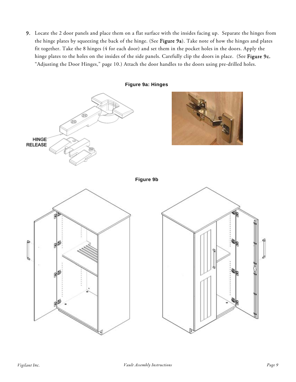9. Locate the 2 door panels and place them on a flat surface with the insides facing up. Separate the hinges from the hinge plates by squeezing the back of the hinge. (See Figure 9a). Take note of how the hinges and plates fit together. Take the 8 hinges (4 for each door) and set them in the pocket holes in the doors. Apply the hinge plates to the holes on the insides of the side panels. Carefully clip the doors in place. (See Figure 9c, "Adjusting the Door Hinges," page 10.) Attach the door handles to the doors using pre-drilled holes.

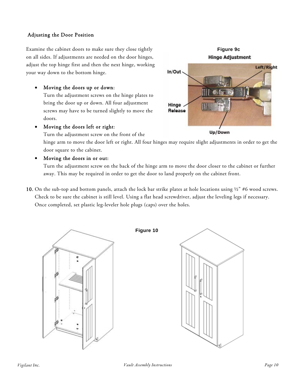#### Adjusting the Door Position

Examine the cabinet doors to make sure they close tightly on all sides. If adjustments are needed on the door hinges, adjust the top hinge first and then the next hinge, working your way down to the bottom hinge.

Moving the doors up or down:

Turn the adjustment screws on the hinge plates to bring the door up or down. All four adjustment screws may have to be turned slightly to move the doors.

Moving the doors left or right:

Turn the adjustment screw on the front of the

hinge arm to move the door left or right. All four hinges may require slight adjustments in order to get the door square to the cabinet.

Moving the doors in or out:

Turn the adjustment screw on the back of the hinge arm to move the door closer to the cabinet or further away. This may be required in order to get the door to land properly on the cabinet front.

10. On the sub-top and bottom panels, attach the lock bar strike plates at hole locations using  $\frac{1}{2}$  #6 wood screws. Check to be sure the cabinet is still level. Using a flat head screwdriver, adjust the leveling legs if necessary. Once completed, set plastic leg-leveler hole plugs (caps) over the holes.



**Figure 10**